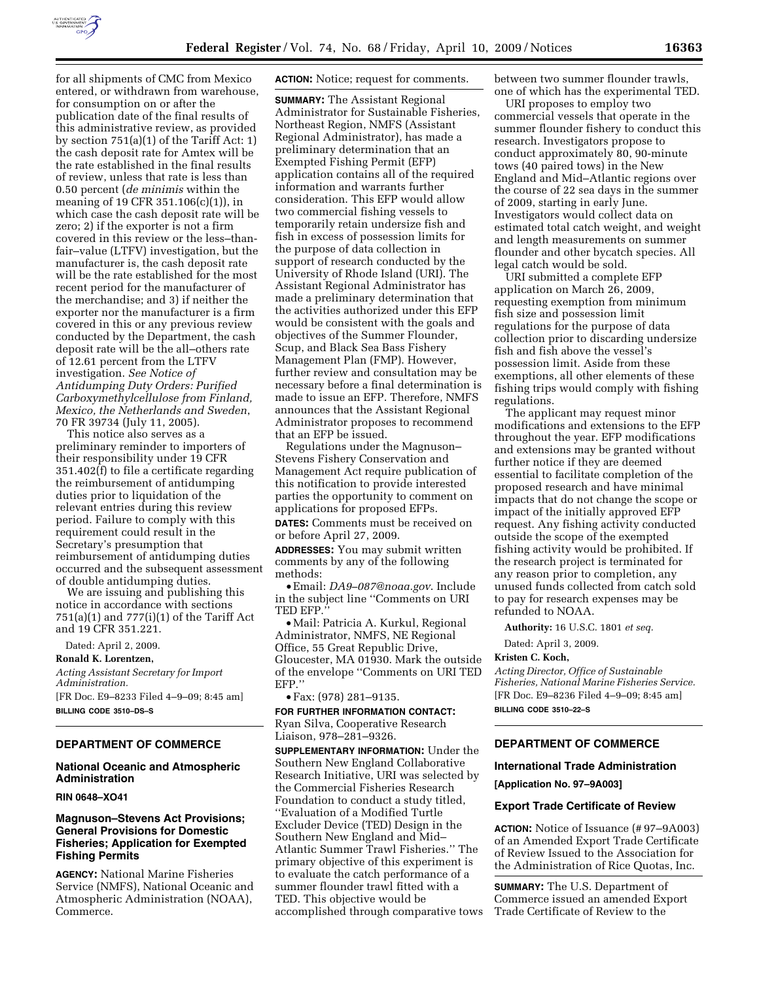

for all shipments of CMC from Mexico entered, or withdrawn from warehouse, for consumption on or after the publication date of the final results of this administrative review, as provided by section 751(a)(1) of the Tariff Act: 1) the cash deposit rate for Amtex will be the rate established in the final results of review, unless that rate is less than 0.50 percent (*de minimis* within the meaning of 19 CFR 351.106(c)(1)), in which case the cash deposit rate will be zero; 2) if the exporter is not a firm covered in this review or the less–thanfair–value (LTFV) investigation, but the manufacturer is, the cash deposit rate will be the rate established for the most recent period for the manufacturer of the merchandise; and 3) if neither the exporter nor the manufacturer is a firm covered in this or any previous review conducted by the Department, the cash deposit rate will be the all–others rate of 12.61 percent from the LTFV investigation. *See Notice of Antidumping Duty Orders: Purified Carboxymethylcellulose from Finland, Mexico, the Netherlands and Sweden*, 70 FR 39734 (July 11, 2005).

This notice also serves as a preliminary reminder to importers of their responsibility under 19 CFR 351.402(f) to file a certificate regarding the reimbursement of antidumping duties prior to liquidation of the relevant entries during this review period. Failure to comply with this requirement could result in the Secretary's presumption that reimbursement of antidumping duties occurred and the subsequent assessment of double antidumping duties.

We are issuing and publishing this notice in accordance with sections 751(a)(1) and 777(i)(1) of the Tariff Act and 19 CFR 351.221.

Dated: April 2, 2009.

## **Ronald K. Lorentzen,**

*Acting Assistant Secretary for Import Administration.*  [FR Doc. E9–8233 Filed 4–9–09; 8:45 am] **BILLING CODE 3510–DS–S** 

#### **DEPARTMENT OF COMMERCE**

## **National Oceanic and Atmospheric Administration**

## **RIN 0648–XO41**

## **Magnuson–Stevens Act Provisions; General Provisions for Domestic Fisheries; Application for Exempted Fishing Permits**

**AGENCY:** National Marine Fisheries Service (NMFS), National Oceanic and Atmospheric Administration (NOAA), Commerce.

**ACTION:** Notice; request for comments.

**SUMMARY:** The Assistant Regional Administrator for Sustainable Fisheries, Northeast Region, NMFS (Assistant Regional Administrator), has made a preliminary determination that an Exempted Fishing Permit (EFP) application contains all of the required information and warrants further consideration. This EFP would allow two commercial fishing vessels to temporarily retain undersize fish and fish in excess of possession limits for the purpose of data collection in support of research conducted by the University of Rhode Island (URI). The Assistant Regional Administrator has made a preliminary determination that the activities authorized under this EFP would be consistent with the goals and objectives of the Summer Flounder, Scup, and Black Sea Bass Fishery Management Plan (FMP). However, further review and consultation may be necessary before a final determination is made to issue an EFP. Therefore, NMFS announces that the Assistant Regional Administrator proposes to recommend that an EFP be issued.

Regulations under the Magnuson– Stevens Fishery Conservation and Management Act require publication of this notification to provide interested parties the opportunity to comment on applications for proposed EFPs.

**DATES:** Comments must be received on or before April 27, 2009.

**ADDRESSES:** You may submit written comments by any of the following methods:

• Email: *DA9–087@noaa.gov*. Include in the subject line ''Comments on URI TED EFP.''

• Mail: Patricia A. Kurkul, Regional Administrator, NMFS, NE Regional Office, 55 Great Republic Drive, Gloucester, MA 01930. Mark the outside of the envelope ''Comments on URI TED EFP.''

• Fax: (978) 281–9135.

**FOR FURTHER INFORMATION CONTACT:**  Ryan Silva, Cooperative Research Liaison, 978–281–9326.

**SUPPLEMENTARY INFORMATION:** Under the Southern New England Collaborative Research Initiative, URI was selected by the Commercial Fisheries Research Foundation to conduct a study titled, ''Evaluation of a Modified Turtle Excluder Device (TED) Design in the Southern New England and Mid– Atlantic Summer Trawl Fisheries.'' The primary objective of this experiment is to evaluate the catch performance of a summer flounder trawl fitted with a TED. This objective would be accomplished through comparative tows between two summer flounder trawls, one of which has the experimental TED.

URI proposes to employ two commercial vessels that operate in the summer flounder fishery to conduct this research. Investigators propose to conduct approximately 80, 90-minute tows (40 paired tows) in the New England and Mid–Atlantic regions over the course of 22 sea days in the summer of 2009, starting in early June. Investigators would collect data on estimated total catch weight, and weight and length measurements on summer flounder and other bycatch species. All legal catch would be sold.

URI submitted a complete EFP application on March 26, 2009, requesting exemption from minimum fish size and possession limit regulations for the purpose of data collection prior to discarding undersize fish and fish above the vessel's possession limit. Aside from these exemptions, all other elements of these fishing trips would comply with fishing regulations.

The applicant may request minor modifications and extensions to the EFP throughout the year. EFP modifications and extensions may be granted without further notice if they are deemed essential to facilitate completion of the proposed research and have minimal impacts that do not change the scope or impact of the initially approved EFP request. Any fishing activity conducted outside the scope of the exempted fishing activity would be prohibited. If the research project is terminated for any reason prior to completion, any unused funds collected from catch sold to pay for research expenses may be refunded to NOAA.

**Authority:** 16 U.S.C. 1801 *et seq.* 

Dated: April 3, 2009.

#### **Kristen C. Koch,**

*Acting Director, Office of Sustainable Fisheries, National Marine Fisheries Service.*  [FR Doc. E9–8236 Filed 4–9–09; 8:45 am] **BILLING CODE 3510–22–S** 

# **DEPARTMENT OF COMMERCE**

# **International Trade Administration**

**[Application No. 97–9A003]** 

#### **Export Trade Certificate of Review**

**ACTION:** Notice of Issuance (# 97–9A003) of an Amended Export Trade Certificate of Review Issued to the Association for the Administration of Rice Quotas, Inc.

**SUMMARY:** The U.S. Department of Commerce issued an amended Export Trade Certificate of Review to the